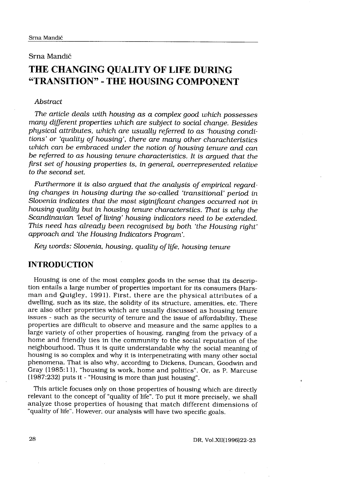## Srna Mandic

# THE CHANGING QUALITY OF LIFE DURING "TRANSITION" - THE HOUSING COMPONENT

## Abstract

The article deals with housing as a complex good which possesses many different properties which are subject to social change. Besides physical attributes, which are usually referred to as 'housing conditions' or `quality of housing', there are many other charachteristics which can be embraced under the notion of housing tenure and can be referred to as housing tenure characteristics . It is argued that the first set of housing properties is, in general, overrepresented relative to the second set.

Furthermore it is also argued that the analysis of empirical regarding changes in housing during the so-called `transitional' period in Slovenia indicates that the most siginificant changes occurred not in housing quality but in housing tenure characterstics . That is why the Scandinavian 'level of living' housing indicators need to be extended. This need has already been recognised by both 'the Housing right' approach and `the Housing Indicators Program' .

Key words: Slovenia, housing, quality of life, housing tenure

# INTRODUCTION

Housing is one of the most complex goods in the sense that its description entails a large number of properties important for its consumers (Harsman and Quigley, 1991) . First, there are the physical attributes of a dwelling, such as its size, the solidity of its structure, amenities, etc. There are also other properties which are usually discussed as housing tenure issues - such as the security of tenure and the issue of affordability. These properties are difficult to observe and measure and the same applies to a large variety of other properties of housing, ranging from the privacy of a home and friendly ties in the community to the social reputation of the neighbourhood. Thus it is quite understandable why the social meaning of housing is so complex and why it is interpenetrating with many other social phenomena. That is also why, according to Dickens, Duncan, Goodwin and Gray (1985:11), "housing is work, home and politics". Or, as P. Marcuse (1987:232) puts it - "Housing is more than just housing" .

This article focuses only on those properties of housing which are directly relevant to the concept of "quality of life". To put it more precisely, we shall analyze those properties of housing that match different dimensions of "quality of life". However, our analysis will have two specific goals.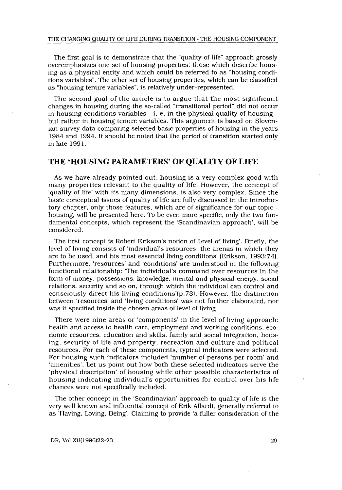The first goal is to demonstrate that the "quality of life" approach grossly overemphasizes one set of housing properties: those which describe housing as a physical entity and which could be referred to as "housing conditions variables" . The other set of housing properties, which can be classified as "housing tenure variables", is relatively under-represented .

The second goal of the article is to argue that the most significant changes in housing during the so-called "transitional period" did not occur in housing conditions variables - <sup>i</sup> . e, in the physical quality of housing but rather in housing tenure variables. This argument is based on Slovenian survey data comparing selected basic properties of housing in the years 1984 and 1994 . It should be noted that the period of transition started only in late 1991 .

## THE 'HOUSING PARAMETERS' OF OUALITY OF LIFE

As we have already pointed out, housing is a very complex good with many properties relevant to the quality of life . However, the concept of 'quality of life' with its many dimensions, is also very complex . Since the basic conceptual issues of quality of life are fully discussed in the introductory chapter, only those features, which are of significance for our topic housing, will be presented here . To be even more specific, only the two fundamental concepts, which represent the `Scandinavian approach', will be considered.

The first concept is Robert Erikson's notion of 'level of living'. Briefly, the level of living consists of `individual's resources, the arenas in which they are to be used, and his most essential living conditions' (Erikson, 1993:74). Furthermore, `resources' and `conditions' are understood in the following functional relationship: 'The individual's command over resources in the form of money, possessions, knowledge, mental and physical energy, social relations, security and so on, through which the individual can control and consciously direct his living conditions'(p .73) . However, the distinction between 'resources' and 'living conditions' was not further elaborated, nor was it specified inside the chosen areas of level of living.

There were nine areas or 'components' in the level of living approach : health and access to health care, employment and working conditions, economic resources, education and skills, family and social integration, housing, security of life and property, recreation and culture and political resources . For each of these components, typical indicators were selected . For housing such indicators included `number of persons per room' and 'amenities'. Let us point out how both these selected indicators serve the physical description' of housing while other possible characteristics of housing indicating individual's opportunities for control over his life chances were not specifically included .

The other concept in the 'Scandinavian' approach to quality of life is the very well known and influential concept of Erik Allardt, generally referred to as 'Having, Loving, Being'. Claiming to provide 'a fuller consideration of the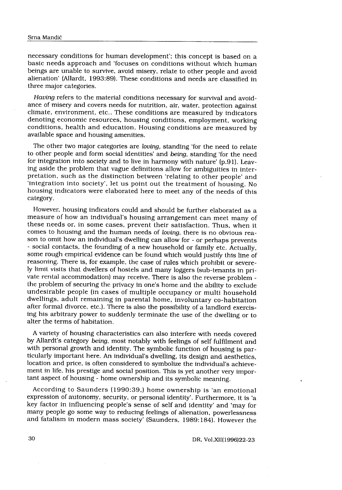necessary conditions for human development'; this concept is based on a basic needs approach and 'focuses on conditions without which human beings are unable to survive, avoid misery, relate to other people and avoid alienation' (Allardt, 1993 :89) . These conditions and needs are classified in three major categories .

Having refers to the material conditions necessary for survival and avoidance of misery and covers needs for nutrition, air, water, protection against climate, environment, etc. . These conditions are measured by indicators denoting economic resources, housing conditions, employment, working conditions, health and education. Housing conditions are measured by available space and housing amenities.

The other two major categories are loving, standing 'for the need to relate to other people and form social identities' and being, standing 'for the need for integration into society and to live in harmony with nature' (p.91). Leaving aside the problem that vague definitions allow for ambiguities in interpretation, such as the distinction between 'relating to other people' and 'integration into society', let us point out the treatment of housing . No housing indicators were elaborated here to meet any of the needs of this category.

However, housing indicators could and should be further elaborated as a measure of how an individual's housing arrangement can meet many of these needs or, in some cases, prevent their satisfaction. Thus, when it comes to housing and the human needs of loving, there is no obvious reason to omit how an individual's dwelling can allow for - or perhaps prevents - social contacts, the founding of a new household or family etc . Actually, some rough empirical evidence can be found which would justify this line of reasoning. There is, for example, the case of rules which prohibit or severely limit visits that dwellers of hostels and many loggers (sub-tenants in private rental accommodation) may receive . There is also the reverse problem the problem of securing the privacy in one's home and the ability to exclude undesirable people (in cases of multiple occupancy or multi household dwellings, adult remaining in parental home, involuntary co-habitation after formal divorce, etc.). There is also the possibility of a landlord exercising his arbitrary power to suddenly terminate the use of the dwelling or to alter the terms of habitation .

A variety of housing characteristics can also interfere with needs covered by Allardt's category being, most notably with feelings of self fulfilment and with personal growth and identity. The symbolic function of housing is particularly important here . An individual's dwelling, its design and aesthetics, location and price, is often considered to symbolize the individual's achievement in life, his prestige and social position. This is yet another very important aspect of housing - home ownership and its symbolic meaning.

According to Saunders (1990:39,) home ownership is 'an emotional expression of autonomy, security, or personal identity'. Furthermore, it is 'a key factor in influencing people's sense of self and identity' and `may for many people go some way to reducing feelings of alienation, powerlessness and fatalism in modern mass society' (Saunders, 1989 :184) . However the

DR, Vol.XII(1996)22-23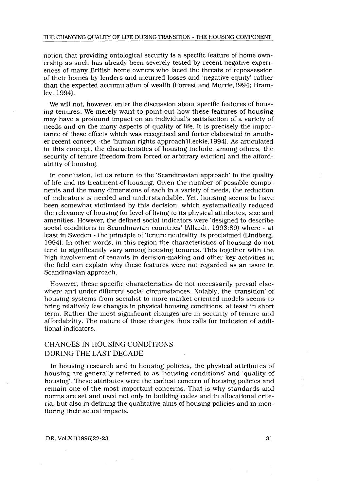notion that providing ontological security is a specific feature of home ownership as such has already been severely tested by recent negative experiences of many British home owners who faced the threats of repossession of their homes by lenders and incurred losses and `negative equity' rather than the expected accumulation of wealth (Forrest and Murrie, 1994; Bramley, 1994).

We will not, however, enter the discussion about specific features of housing tenures . We merely want to point out how these features of housing may have a profound impact on an individual's satisfaction of a variety of needs and on the many aspects of quality of life. It is precisely the importance of these effects which was recognised and furter elaborated in another recent concept -the `human rights approach'(Leckie,1994) . As articulated in this concept, the characteristics of housing include, among others, the security of tenure (freedom from forced or arbitrary eviction) and the affordability of housing.

In conclusion, let us return to the 'Scandinavian approach' to the quality of life and its treatment of housing. Given the number of possible components and the many dimensions of each in a variety of needs, the reduction of indicators is needed and understandable . Yet, housing seems to have been somewhat victimised by this decision, which systematically reduced the relevancy of housing for level of living to its physical attributes, size and amenities. However, the defined social indicators were `designed to describe social conditions in Scandinavian countries' (Allardt, 1993:89) where - at least in Sweden - the principle of 'tenure neutrality' is proclaimed (Lindberg, 1994) . In other words, in this region the characteristics of housing do not tend to significantly vary among housing tenures . This together with the high involvement of tenants in decision-making and other key activities in the field can explain why these features were not regarded as an issue in Scandinavian approach.

However, these specific characteristics do not necessarily prevail elsewhere and under different social circumstances . Notably, the 'transition' of housing systems from socialist to more market oriented models seems to bring relatively few changes in physical housing conditions, at least in short term. Rather the most significant changes are in security of tenure and affordability . The nature of these changes thus calls for inclusion of additional indicators.

# CHANGES IN HOUSING CONDITIONS DURING THE LAST DECADE

In housing research and in housing policies, the physical attributes of housing are generally referred to as `housing conditions' and `quality of housing'. These attributes were the earliest concern of housing policies and remain one of the most important concerns . That is why standards and norms are set and used not only in building codes and in allocational criteria, but also in defining the qualitative aims of housing policies and in monitoring their actual impacts.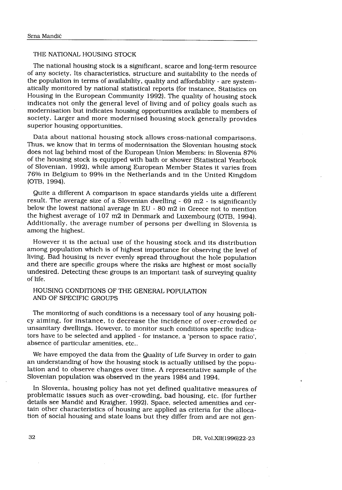## THE NATIONAL HOUSING STOCK

The national housing stock is a significant, scarce and long-term resource of any society . Its characteristics, structure and suitability to the needs of the population in terms of availability, quality and affordablity - are systematically monitored by national statistical reports (for instance, Statistics on Housing in the European Community 1992) . The quality of housing stock indicates not only the general level of living and of policy goals such as modernisation but indicates housing opportunities available to members of society. Larger and more modernised housing stock generally provides superior housing opportunities.

Data about national housing stock allows cross-national comparisons . Thus, we know that in terms of modernisation the Slovenian housing stock does not lag behind most of the European Union Members: in Slovenia 87% of the housing stock is equipped with bath or shower (Statistical Yearbook of Slovenian, 1992), while among European Member States it varies from 76% in Belgium to 99% in the Netherlands and in the United Kingdom (OTB, 1994).

Quite a different A comparison in space standards yields uite a different result. The average size of a Slovenian dwelling -  $69$  m2 - is significantly below the lowest national average in EU - 80 m2 in Greece not to mention the highest average of 107 m2 in Denmark and Luxembourg (OTB, 1994). Additionally, the average number of persons per dwelling in Slovenia is among the highest.

However it is the actual use of the housing stock and its distribution among population which is of highest importance for observing the level of living. Bad housing is never evenly spread throughout the hole population and there are specific groups where the risks are highest or most socially undesired. Detecting these groups is an important task of surveying quality of life.

## HOUSING CONDITIONS OF THE GENERAL POPULATION AND OF SPECIFIC GROUPS

The monitoring of such conditions is a necessary tool of any housing policy aiming, for instance, to decrease the incidence of over-crowded or unsanitary dwellings. However, to monitor such conditions specific indicators have to be selected and applied - for instance, a 'person to space ratio', absence of particular amenities, etc..

We have empoyed the data from the Quality of Life Survey in order to gain an understanding of how the housing stock is actually utilised by the population and to observe changes over time . A representative sample of the Slovenian population was observed in the years 1984 and 1994.

In Slovenia, housing policy has not yet defined qualitative measures of problematic issues such as over-crowding, bad housing, etc . (for further details see Mandic and Kraigher, 1992) . Space, selected amenities and certain other characteristics of housing are applied as criteria for the allocation of social housing and state loans but they differ from and are not gen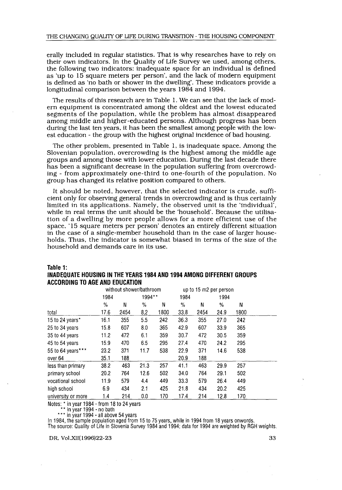erally included in regular statistics . That is why researches have to rely on their own indicators. In the Quality of Life Survey we used, among others, the following two indicators: inadequate space for an individual is defined as 'up to 15 square meters per person', and the lack of modern equipment is defined as 'no bath or shower in the dwelling'. These indicators provide a longitudinal comparison between the years 1984 and 1994.

The results of this research are in Table 1 . We can see that the lack of modern equipment is concentrated among the oldest and the lowest educated segments of the population, while the problem has almost disappeared among middle and higher-educated persons . Although progress has been during the last ten years, it has been the smallest among people with the lowest education - the group with the highest original incidence of bad housing.

The other problem, presented in Table 1, is inadequate space . Among the Slovenian population, overcrowding is the highest among the middle age groups and among those with lower education . During the last decade there has been a significant decrease in the population suffering from overcrowding - from approximately one-third to one-fourth of the population . No group has changed its relative position compared to others .

It should be noted, however, that the selected indicator is crude, sufficient only for observing general trends in overcrowding and is thus certainly limited in its applications . Namely, the observed unit is the 'individual', while in real terms the unit should be the 'household'. Because the utilisation of a dwelling by more people allows for a more efficient use of the space, '15 square meters per person' denotes an entirely different situation in the case of a single-member household than in the case of larger households. Thus, the indicator is somewhat biased in terms of the size of the household and demands care in its use.

|                    |               |      | without shower/bathroom |      | up to 15 m2 per person |      |      |      |
|--------------------|---------------|------|-------------------------|------|------------------------|------|------|------|
|                    | 1984          |      | 1994**                  |      | 1984                   |      | 1994 |      |
|                    | $\frac{0}{2}$ | N    | $\%$                    | N    | %                      | N    | %    | N    |
| total              | 17.6          | 2454 | 8,2                     | 1800 | 33.8                   | 2454 | 24.9 | 1800 |
| 15 to 24 years*    | 16.1          | 355  | 5.5                     | 242  | 36.3                   | 355  | 27.0 | 242  |
| 25 to 34 years     | 15.8          | 607  | 8.0                     | 365  | 42.9                   | 607  | 33.9 | 365  |
| 35 to 44 years     | 11.2          | 472  | 6.1                     | 359  | 30.7                   | 472  | 30.5 | 359  |
| 45 to 54 years     | 15.9          | 470  | 6.5                     | 295  | 27.4                   | 470  | 24.2 | 295  |
| 55 to 64 years***  | 23.2          | 371  | 11.7                    | 538  | 22.9                   | 371  | 14.6 | 538  |
| over 64            | 35.1          | 188  |                         |      | 20.9                   | 188  |      |      |
| less than primary  | 38.2          | 463  | 21.3                    | 257  | 41,1                   | 463  | 29.9 | 257  |
| primary school     | 20.2          | 764  | 12.6                    | 502  | 34.0                   | 764  | 29.1 | 502  |
| vocational school  | 11.9          | 579  | 4.4                     | 449  | 33.3                   | 579  | 26.4 | 449  |
| high school        | 6.9           | 434  | 2.1                     | 425  | 21.8                   | 434  | 20.2 | 425  |
| university or more | 1.4           | 214  | 0.0                     | 170  | 17.4                   | 214  | 12.8 | 170  |

# Table 1: INADEQUATE HOUSING IN THE YEARS 1984 AND 1994 AMONG DIFFERENT GROUPS

\*\*\* in year 1994 - all above 54 years

In 1984, the sample population aged from 15 to 75 years, while in 1994 from 18 years onwords.

The source: Quality of Life in Slovenia Survey 1984 and 1994; data for 1994 are weighted by RGH weights.

DR, Vol .XII(1996)22-23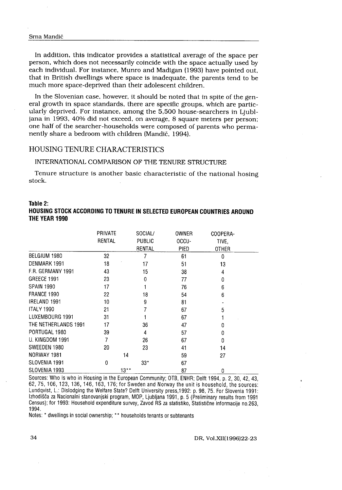#### Srna Mandič

 

In addition, this indicator provides a statistical average of the space per person, which does not necessarily coincide with the space actually used by each individual . For instance, Munro and Madigan (1993) have pointed out, that in British dwellings where space is inadequate, the parents tend to be much more space-deprived than their adolescent children.

In the Slovenian case, however, it should be noted that in spite of the general growth in space standards, there are specific groups, which are particularly deprived. For instance, among the 5,500 house-searchers in Ljubljana in 1993, 40% did not exceed, on average, 8 square meters per person; one half of the searcher-households were composed of parents who permanently share a bedroom with children (Mandič, 1994).

## HOUSING TENURE CHARACTERISTICS

### INTERNATIONAL COMPARISON OF THE TENURE STRUCTURE

Tenure structure is another basic characteristic of the national hosing stock .

## Table 2: HOUSING STOCK ACCORDING TO TENURE IN SELECTED EUROPEAN COUNTRIES AROUND THE YEAR 1990

|                      | <b>PRIVATE</b><br>RENTAL | SOCIAL/<br>PUBLIC<br>RENTAL | OWNER<br>OCCU-<br>PIED | COOPERA-<br>TIVE.<br>OTHER |
|----------------------|--------------------------|-----------------------------|------------------------|----------------------------|
| BELGIUM 1980         | 32                       | 7                           | 61                     | 0                          |
| DENMARK 1991         | 18                       | 17                          | 51                     | 13                         |
| F.R. GERMANY 1991    | 43                       | 15                          | 38                     | 4                          |
| GREECE 1991          | 23                       | 0                           | 77                     | Û                          |
| <b>SPAIN 1990</b>    | 17                       | 1                           | 76                     | 6                          |
| FRANCE 1990          | 22                       | 18                          | 54                     | 6                          |
| IRELAND 1991         | 10                       | 9                           | 81                     |                            |
| <b>ITALY 1990</b>    | 21                       | 7                           | 67                     | 5                          |
| LUXEMBOURG 1991      | 31                       |                             | 67                     |                            |
| THE NETHERLANDS 1991 | 17                       | 36                          | 47                     | n                          |
| PORTUGAL 1980        | 39                       | 4                           | 57                     | n                          |
| U. KINGDOM 1991      | $\overline{7}$           | 26                          | 67                     | n                          |
| SWEEDEN 1980         | 20                       | 23                          | 41                     | 14                         |
| NORWAY 1981          |                          | 14                          | 59                     | 27                         |
| SLOVENIA 1991        | 0                        | $33*$                       | 67                     |                            |
| SLOVENIA 1993        | $13***$                  |                             | 87                     | 0                          |

Sources: Who is who in Housing in the European Community; OTB, ENHR , Delit 1994, p . 2, 30, 42, 43, 62, 75, 106, 123, 136, 146, 163, 176 ; for Sweden and Norway the unit is household, the sources : Lundqvist, L.: Dislodging the Welfare State? Delft University press, 1992: p. 98, 75. For Slovenia 1991: Izhodišča za Nacionalni stanovanjski program, MOP, Ljubljana 1991, p. 5 (Preliminary results from 1991 Census) ; for 1993 : Household expenditure survey, Zavod RS za statistiko, Statistične informacije no .263, 1994.

Notes: \* dwellings in social ownership; \*\* households tenants or subtenants

#### DR, Vol .XII(1996)22-23

34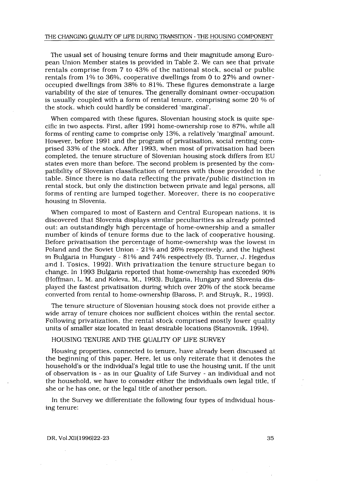The usual set of housing tenure forms and their magnitude among European Union Member states is provided in Table 2 . We can see that private rentals comprise from 7 to 43% of the national stock, social or public rentals from 1% to 36%, cooperative dwellings from 0 to 27% and owneroccupied dwellings from 38% to 81% . These figures demonstrate a large variability of the size of tenures. The generally dominant owner-occupation is usually coupled with a form of rental tenure, comprising some 20 % of the stock, which could hardly be considered 'marginal' .

When compared with these figures, Slovenian housing stock is quite specific in two aspects . First, after 1991 home-ownership rose to 87%, while all forms of renting came to comprise only 13%, a relatively 'marginal' amount . However, before 1991 and the program of privatisation, social renting comprised 33% of the stock . After 1993, when most of privatisation had been completed, the tenure structure of Slovenian housing stock differs from EU states even more than before . The second problem is presented by the compatibility of Slovenian classification of tenures with those provided in the table . Since there is no data reflecting the private/public distinction in rental stock, but only the distinction between private and legal persons, all forms of renting are lumped together. Moreover, there is no cooperative housing in Slovenia.

When compared to most of Eastern and Central European nations, it is discovered that Slovenia displays similar peculiarities as already pointed out: an outstandingly high percentage of home-ownership and a smaller number of kinds of tenure forms due to the lack of cooperative housing . Before privatisation the percentage of home-ownership was the lowest in Poland and the Soviet Union - 21% and 26% respectively, and the highest in Bulgaria in Hungary - 81% and 74% respectively (B. Turner, J. Hegedus and I. Tosics, 1992). With privatization the tenure structure began to change. In 1993 Bulgaria reported that home-ownership has exceeded 90% (Hoffman, L. M. and Koleva, M., 1993). Bulgaria, Hungary and Slovenia displayed the fastest privatisation during which over 20% of the stock became converted from rental to home-ownership (Baross, P. and Struyk, R., 1993).

The tenure structure of Slovenian housing stock does not provide either a wide array of tenure choices nor sufficient choices within the rental sector. Following privatization, the rental stock comprised mostly lower quality units of smaller size located in least desirable locations (Stanovnik, 1994) .

#### HOUSING TENURE AND THE QUALITY OF LIFE SURVEY

Housing properties, connected to tenure, have already been discussed at the beginning of this paper. Here, let us only reiterate that it denotes the household's or the individual's legal title to use the housing unit . If the unit of observation is - as in our Quality of Life Survey - an individual and not the household, we have to consider either the individuals own legal title, if she or he has one, or the legal title of another person .

In the Survey we differentiate the following four types of individual housing tenure: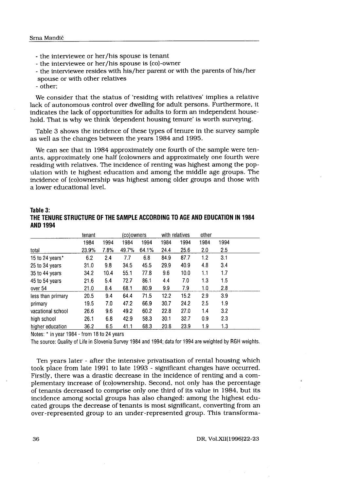- the interviewee or her/his spouse is tenant
- the interviewee or her/his spouse is (co)-owner
- the interviewee resides with his/her parent or with the parents of his/her
- spouse or with other relatives
- other;

We consider that the status of 'residing with relatives' implies a relative lack of autonomous control over dwelling for adult persons . Furthermore, it indicates the lack of opportunities for adults to form an independent household. That is why we think `dependent housing tenure' is worth surveying.

Table 3 shows the incidence of these types of tenure in the survey sample as well as the changes between the years 1984 and 1995.

We can see that in 1984 approximately one fourth of the sample were tenants, approximately one half (co)owners and approximately one fourth were residing with relatives. The incidence of renting was highest among the population with te highest education and among the middle age groups. The incidence of (co)ownership was highest among older groups and those with a lower educational level.

| Table 3:<br>THE TENURE STRUCTURE OF THE SAMPLE ACCORDING TO AGE AND EDUCATION IN 1984<br><b>AND 1994</b> |        |      |       |            |      |                |      |      |
|----------------------------------------------------------------------------------------------------------|--------|------|-------|------------|------|----------------|------|------|
|                                                                                                          | tenant |      |       | (co)owners |      | with relatives |      |      |
|                                                                                                          | 1984   | 1994 | 1984  | 1994       | 1984 | 1994           | 1984 | 1994 |
| total                                                                                                    | 23.9%  | 7.8% | 49.7% | 64.1%      | 24.4 | 25.6           | 2.0  | 2.5  |
| 15 to 24 years*                                                                                          | 6.2    | 2,4  | 7.7   | 6.8        | 84.9 | 87.7           | 1.2  | 3.1  |
| 25 to 34 years                                                                                           | 31.0   | 9.8  | 34.5  | 45.5       | 29.9 | 40.9           | 4.8  | 3.4  |
| 35 to 44 years                                                                                           | 34.2   | 10.4 | 55.1  | 77.8       | 9.6  | 10.0           | 1.1  | 1.7  |
| 45 to 54 years                                                                                           | 21.6   | 5.4  | 72.7  | 86.1       | 4.4  | 7.0            | 1.3  | 1.5  |
| over 54                                                                                                  | 21.0   | 8.4  | 68.1  | 80.9       | 9.9  | 7.9            | 1.0  | 2.8  |
| less than primary                                                                                        | 20.5   | 9.4  | 64.4  | 71.5       | 12.2 | 15.2           | 2.9  | 3.9  |
| primary                                                                                                  | 19.5   | 7.0  | 47.2  | 66.9       | 30.7 | 24.2           | 2.5  | 1.9  |
| vacational school                                                                                        | 26.6   | 9.6  | 49.2  | 60.2       | 22.8 | 27.0           | 1.4  | 3.2  |
| high school                                                                                              | 26.1   | 6.8  | 42.9  | 58.3       | 30.1 | 32.7           | 0.9  | 2.3  |
| higher education                                                                                         | 36.2   | 6.5  | 41.1  | 68.3       | 20.8 | 23.9           | 1.9  | 1.3  |

THE TENURE STRUCTURE OF THE SAMPLE ACCORDING TO AGE AND EDUCATION IN 1984 AND 1994

Ten years later - after the intensive privatisation of rental housing which took place from late 1991 to late 1993 - significant changes have occurred. Firstly, there was a drastic decrease in the incidence of renting and a complementary increase of (co)ownership. Second, not only has the percentage of tenants decreased to comprise only one third of its value in 1984, but its incidence among social groups has also changed: among the highest educated groups the decrease of tenants is most significant, converting from an over-represented group to an under-represented group . This transforma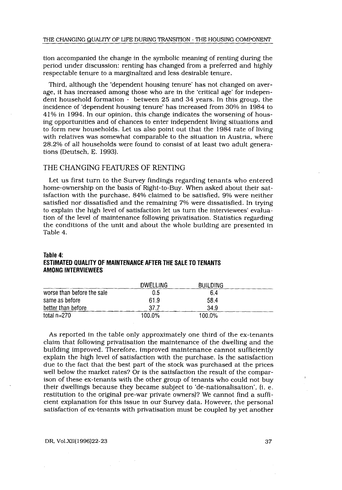tion accompanied the change in the symbolic meaning of renting during the period under discussion: renting has changed from a preferred and highly respectable tenure to a marginalized and less desirable tenure .

Third, although the `dependent housing tenure' has not changed on average, it has increased among those who are in the `critical age' for independent household formation - between 25 and 34 years . In this group, the incidence of 'dependent housing tenure' has increased from 30% in 1984 to 41% in 1994 . In our opinion, this change indicates the worsening of housing opportunities and of chances to enter independent living situations and to form new households . Let us also point out that the 1984 rate of living with relatives was somewhat comparable to the situation in Austria, where 28.2% of all households were found to consist of at least two adult generations (Deutsch, E. 1993).

## THE CHANGING FEATURES OF RENTING

Let us first turn to the Survey findings regarding tenants who entered home-ownership on the basis of Right-to-Buy. When asked about their satisfaction with the purchase, 84% claimed to be satisfied, 9% were neither satisfied nor dissatisfied and the remaining 7% were dissatisfied. In trying to explain the high level of satisfaction let us turn the interviewees' evaluation of the level of maintenance following privatisation . Statistics regarding the conditions of the unit and about the whole building are presented in Table 4.

#### Table 4 :

## ESTIMATED QUALITY OF MAINTENANCE AFTER THE SALE TO TENANTS AMONG INTERVIEWEES

| Table 4:<br>ESTIMATED QUALITY OF MAINTENANCE AFTER THE SALE TO TENANTS |          |                 |  |
|------------------------------------------------------------------------|----------|-----------------|--|
| <b>AMONG INTERVIEWEES</b>                                              |          |                 |  |
|                                                                        | DWELLING | <b>BUILDING</b> |  |
| worse than before the sale                                             | 0.5      | 6.4             |  |
| same as before                                                         | 61.9     | 58.4            |  |
| better than before                                                     | 37.7     | 34.9            |  |
| total $n=270$                                                          | 100.0%   | 100.0%          |  |

As reported in the table only approximately one third of the ex-tenants claim that following privatisation the maintenance of the dwelling and the building improved. Therefore, improved maintenance cannot sufficiently explain the high level of satisfaction with the purchase . Is the satisfaction due to the fact that the best part of the stock was purchased at the prices well below the market rates? Or is the satisfaction the result of the comparison of these ex-tenants with the other group of tenants who could not buy their dwellings because they became subject to 'de-nationalisation', (i. e. restitution to the original pre-war private owners)? We cannot find a sufficient explanation for this issue in our Survey data. However, the personal satisfaction of ex-tenants with privatisation must be coupled by yet another

#### DR, Vol.XII(1996)22-23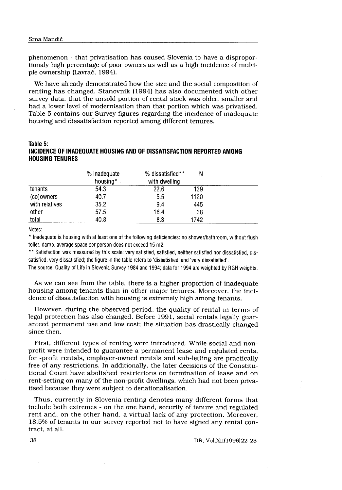phenomenon - that privatisation has caused Slovenia to have a disproportionaly high percentage of poor owners as well as a high incidence of multiple ownership (Lavrač, 1994).

We have already demonstrated how the size and the social composition of renting has changed. Stanovnik (1994) has also documented with other survey data, that the unsold portion of rental stock was older, smaller and had a lower level of modernisation than that portion which was privatised . Table 5 contains our Survey figures regarding the incidence of inadequate housing and dissatisfaction reported among different tenures. **STARE MANUATE STARE SET AND ALL THE SET AND ALL THE SET AND ALL THE SET AND ALL THE SET AND ALL THE SET AND ALL THE SET AND ALL THE SET AND ALL THE SET AND ALL THE SET AND ALL THE SET AND ALL THE SET AND ALL THE STARE ST** 

## Table 5: INCIDENCE OF INADEQUATE HOUSING AND OF DISSATISFACTION REPORTED AMONG HOUSING TENURES

| Table 5:<br>INCIDENCE OF INADEQUATE HOUSING AND OF DISSATISFACTION REPORTED AMONG<br><b>HOUSING TENURES</b> |                          |                                   |      |  |  |  |
|-------------------------------------------------------------------------------------------------------------|--------------------------|-----------------------------------|------|--|--|--|
|                                                                                                             | % inadequate<br>housing* | % dissatisfied**<br>with dwelling | Ν    |  |  |  |
| tenants                                                                                                     | 54.3                     | 22.6                              | 139  |  |  |  |
| (co)owners                                                                                                  | 40.7                     | 5.5                               | 1120 |  |  |  |
| with relatives                                                                                              | 35.2                     | 9.4                               | 445  |  |  |  |
| other                                                                                                       | 57.5                     | 16.4                              | 38   |  |  |  |
| total                                                                                                       | 40.8                     | 8.3                               | 1742 |  |  |  |
| Notes:                                                                                                      |                          |                                   |      |  |  |  |

\*\* Satisfaction was measured by this scale: very satisfied, satisfied, neither satisfied nor dissatisfied, dissatisfied, very dissatisfied; the figure in the table refers to 'dissatisfied' and 'very dissatisfied'.

The source: Quality of Life in Slovenia Survey 1984 and 1994; data for 1994 are weighted by RGH weights.

As we can see from the table, there is a higher proportion of inadequate housing among tenants than in other major tenures . Moreover, the incidence of dissatisfaction with housing is extremely high among tenants.

However, during the observed period, the quality of rental in terms of legal protection has also changed. Before 1991, social rentals legally guaranteed permanent use and low cost; the situation has drastically changed since then.

First, different types of renting were introduced . While social and nonprofit were intended to guarantee a permanent lease and regulated rents, for -profit rentals, employer-owned rentals and sub-letting are practically free of any restrictions . In additionally, the later decisions of the Constitutional Court have abolished restrictions on termination of lease and on rent-setting on many of the non-profit dwellings, which had not been privatised because they were subject to denationalisation .

Thus, currently in Slovenia renting denotes many different forms that include both extremes - on the one hand, security of tenure and regulated rent and, on the other hand, a virtual lack of any protection. Moreover, 18.5% of tenants in our survey reported not to have signed any rental contract, at all.

DR, Vol.XII(1996)22-23

38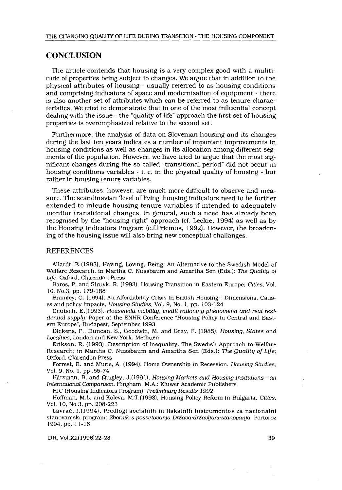## **CONCLUSION**

The article contends that housing is a very complex good with a mulititude of properties being subject to changes . We argue that in addition to the physical attributes of housing - usually referred to as housing conditions and comprising indicators of space and modernisation of equipment - there is also another set of attributes which can be referred to as tenure characteristics . We tried to demonstrate that in one of the most influential concept dealing with the issue - the "quality of life" approach the first set of housing properties is overemphasized relative to the second set .

Furthermore, the analysis of data on Slovenian housing and its changes during the last ten years indicates a number of important improvements in housing conditions as well as changes in its allocation among different segments of the population. However, we have tried to argue that the most significant changes during the so called "transitional period" did not occur in housing conditions variables - <sup>i</sup> . e, in the physical quality of housing - but rather in housing tenure variables.

These attributes, however, are much more difficult to observe and measure. The scandinavian 'level of living' housing indicators need to be further extended to inlcude housing tenure variables if intended to adequately monitor transitional changes. In general, such a need has already been recognised by the "housing right" approach (cf . Leckie, 1994) as well as by the Housing Indicators Program (c .f.Priemus, 1992) . However, the broadening of the housing issue will also bring new conceptual challanges.

## REFERENCES

Allardt, E.(1993), Having, Loving, Being: An Alternative to the Swedish Model of Welfare Research, in Martha C. Nussbaum and Amartha Sen (Eds.): The Quality of Life, Oxford, Clarendon Press

Baros, P. and Struyk, R. (1993), Housing Transition in Eastern Europe; Cities, Vol. 10, No.3, pp. 179-188

Bramley, G . (1994), An Affordability Crisis in British Housing - Dimensions, Causes and policy Impacts, Housing Studies, Vol. 9, No. 1, pp. 103-124

Deutsch, E .(1993), Household mobility, credit rationing phenomena and real residential supply; Paper at the ENHR Conference "Housing Policy in Central and Eastern Europe", Budapest, September 1993

Dickens, P., Duncan, S., Goodwin, M. and Gray, F. (1985), Housing, States and Localties, London and New York, Methuen

Erikson, R . (1993), Description of Inequality . The Swedish Approach to Welfare Research; in Martha C. Nussbaum and Amartha Sen (Eds.): The Quality of Life; Oxford, Clarendon Press

Forrest, R . and Murie, A. (1994), Home Ownership in Recession . Housing Studies, Vol. 9, No. 1, pp .55-74

Hårsman, B. and Quigley, J.(1991), Housing Markets and Housing Institutions - an International Comparison, Hingham, M.A.: Kluwer Academic Publishers

HIC (Housing Indicators Program): Preliminary Results 1992

Hoffman, M.L. and Koleva, M.T.(1993), Housing Policy Reform in Bulgaria, Cities, Vol. 10, No.3, pp. 208-223

Lavrač, 1 .(1994), Predlogi socialnih in fiskalnih instrumentov za nacionalni stanovanjski program; Zbornik s posvetovanja Država-državljani-stanovanja, Portorož 1994, pp. 11-16

DR, Vol.XII(1996)22-23